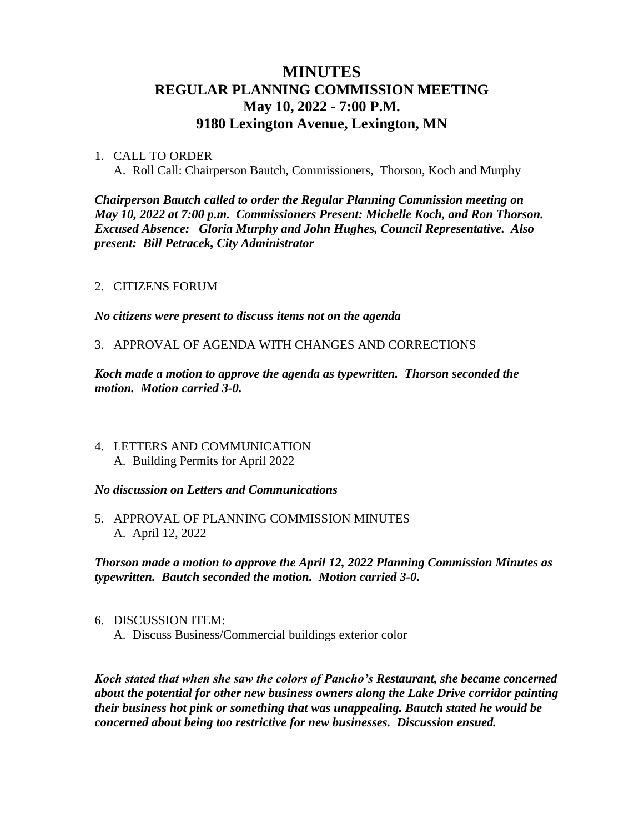# **MINUTES REGULAR PLANNING COMMISSION MEETING May 10, 2022 - 7:00 P.M. 9180 Lexington Avenue, Lexington, MN**

### 1. CALL TO ORDER

A. Roll Call: Chairperson Bautch, Commissioners, Thorson, Koch and Murphy

*Chairperson Bautch called to order the Regular Planning Commission meeting on May 10, 2022 at 7:00 p.m. Commissioners Present: Michelle Koch, and Ron Thorson. Excused Absence: Gloria Murphy and John Hughes, Council Representative. Also present: Bill Petracek, City Administrator*

## 2. CITIZENS FORUM

*No citizens were present to discuss items not on the agenda*

### 3. APPROVAL OF AGENDA WITH CHANGES AND CORRECTIONS

*Koch made a motion to approve the agenda as typewritten. Thorson seconded the motion. Motion carried 3-0.*

4. LETTERS AND COMMUNICATION A. Building Permits for April 2022

### *No discussion on Letters and Communications*

5. APPROVAL OF PLANNING COMMISSION MINUTES A. April 12, 2022

*Thorson made a motion to approve the April 12, 2022 Planning Commission Minutes as typewritten. Bautch seconded the motion. Motion carried 3-0.*

6. DISCUSSION ITEM: A. Discuss Business/Commercial buildings exterior color

*Koch stated that when she saw the colors of Pancho's Restaurant, she became concerned about the potential for other new business owners along the Lake Drive corridor painting their business hot pink or something that was unappealing. Bautch stated he would be concerned about being too restrictive for new businesses. Discussion ensued.*